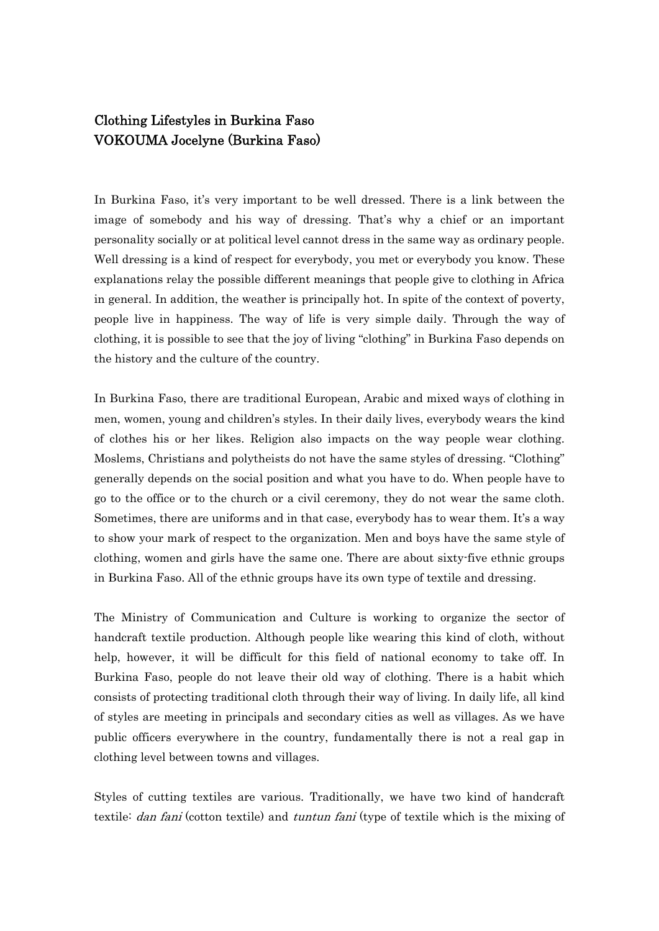## Clothing Lifestyles in Burkina Faso VOKOUMA Jocelyne (Burkina Faso)

In Burkina Faso, it's very important to be well dressed. There is a link between the image of somebody and his way of dressing. That's why a chief or an important personality socially or at political level cannot dress in the same way as ordinary people. Well dressing is a kind of respect for everybody, you met or everybody you know. These explanations relay the possible different meanings that people give to clothing in Africa in general. In addition, the weather is principally hot. In spite of the context of poverty, people live in happiness. The way of life is very simple daily. Through the way of clothing, it is possible to see that the joy of living "clothing" in Burkina Faso depends on the history and the culture of the country.

In Burkina Faso, there are traditional European, Arabic and mixed ways of clothing in men, women, young and children's styles. In their daily lives, everybody wears the kind of clothes his or her likes. Religion also impacts on the way people wear clothing. Moslems, Christians and polytheists do not have the same styles of dressing. "Clothing" generally depends on the social position and what you have to do. When people have to go to the office or to the church or a civil ceremony, they do not wear the same cloth. Sometimes, there are uniforms and in that case, everybody has to wear them. It's a way to show your mark of respect to the organization. Men and boys have the same style of clothing, women and girls have the same one. There are about sixty-five ethnic groups in Burkina Faso. All of the ethnic groups have its own type of textile and dressing.

The Ministry of Communication and Culture is working to organize the sector of handcraft textile production. Although people like wearing this kind of cloth, without help, however, it will be difficult for this field of national economy to take off. In Burkina Faso, people do not leave their old way of clothing. There is a habit which consists of protecting traditional cloth through their way of living. In daily life, all kind of styles are meeting in principals and secondary cities as well as villages. As we have public officers everywhere in the country, fundamentally there is not a real gap in clothing level between towns and villages.

Styles of cutting textiles are various. Traditionally, we have two kind of handcraft textile: *dan fani* (cotton textile) and *tuntun fani* (type of textile which is the mixing of